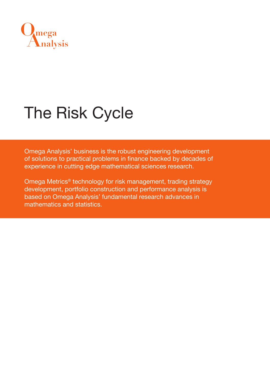

# The Risk Cycle

Omega Analysis' business is the robust engineering development of solutions to practical problems in finance backed by decades of experience in cutting edge mathematical sciences research.

Omega Metrics® technology for risk management, trading strategy development, portfolio construction and performance analysis is based on Omega Analysis' fundamental research advances in mathematics and statistics.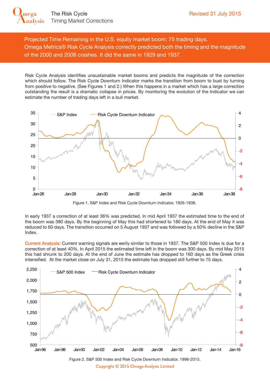**[Analysis](http://www.OmegaAnalysis.com)**

**Omega**

Projected Time Remaining in the U.S. equity market boom: 75 trading days. Omega Metrics® Risk Cycle Analysis correctly predicted both the timing and the magnitude of the 2000 and 2008 crashes. It did the same in 1929 and 1937.

Risk Cycle Analysis identifies unsustainable market booms and predicts the magnitude of the correction which should follow. The Risk Cycle Downturn Indicator marks the transition from boom to bust by turning from positive to negative. (See Figures 1 and 2.) When this happens in a market which has a large correction outstanding the result is a dramatic collapse in prices. By monitoring the evolution of the Indicator we can estimate the number of trading days left in a bull market.





In early 1937 a correction of at least 36% was predicted. In mid April 1937 the estimated time to the end of the boom was 380 days. By the beginning of May this had shortened to 180 days. At the end of May it was reduced to 60 days. The transition occurred on 5 August 1937 and was followed by a 50% decline in the S&P Index.

Current Analysis: Current warning signals are eerily similar to those in 1937. The S&P 500 Index is due for a correction of at least 40%. In April 2015 the estimated time left in the boom was 300 days. By mid May 2015 this had shrunk to 200 days. At the end of June the estimate has dropped to 160 days as the Greek crisis intensified. At the market close on July 31, 2015 the estimate has dropped still further to 75 days.

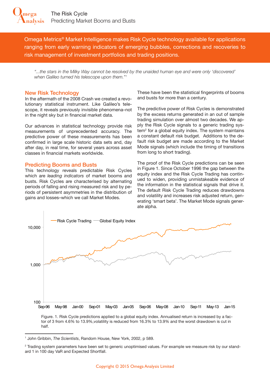Omega Metrics® Market Intelligence makes Risk Cycle technology available for applications ranging from early warning indicators of emerging bubbles, corrections and recoveries to risk management of investment portfolios and trading positions.

*"...the stars in the Milky Way cannot be resolved by the unaided human eye and were only 'discovered' when Galileo turned his telescope upon them."1*

#### New Risk Technology

In the aftermath of the 2008 Crash we created a revolutionary statistical instrument. Like Galileo's telescope, it reveals previously invisible phenomena–not in the night sky but in financial market data.

Our advances in statistical technology provide risk measurements of unprecedented accuracy. The predictive power of these measurements has been confirmed in large scale historic data sets and, day after day, in real time, for several years across asset classes in financial markets worldwide.

#### Predicting Booms and Busts

This technology reveals predictable Risk Cycles which are *leading indicators* of market booms and busts. Risk Cycles are characterised by alternating periods of falling and rising measured risk and by periods of persistent asymmetries in the distribution of 100,000 gains and losses–which we call Market Modes.

These have been the statistical fingerprints of booms and busts for more than a century.

The predictive power of Risk Cycles is demonstrated by the excess returns generated in an out of sample trading simulation over almost two decades. We apply the Risk Cycle signals to a generic trading system<sup>2</sup> for a global equity index. The system maintains a constant default risk budget. Additions to the default risk budget are made according to the Market Mode signals (which include the timing of transitions from long to short trading).

The proof of the Risk Cycle predictions can be seen in Figure 1. Since October 1996 the gap between the equity index and the Risk Cycle Trading has continued to widen, providing unmistakeable evidence of the information in the statistical signals that drive it. The default Risk Cycle Trading reduces drawdowns and volatility and increases risk adjusted return, generating 'smart beta'. The Market Mode signals generate alpha.



half.

<sup>1</sup> John Gribbin, *The Scientists*, Random House, New York, 2002, p 589.

<sup>2</sup> Trading system parameters have been set to generic unoptimised values. For example we measure risk by our standard 1 in 100 day VaR and Expected Shortfall.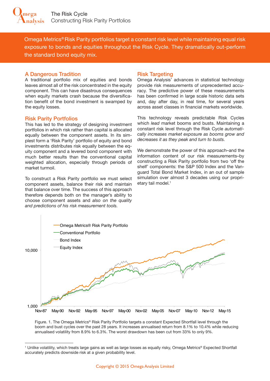Omega Metrics® Risk Parity portfolios target a constant risk level while maintaining equal risk exposure to bonds and equities throughout the Risk Cycle. They dramatically out-perform the standard bond equity mix.

#### A Dangerous Tradition

A traditional portfolio mix of equities and bonds leaves almost all of the risk concentrated in the equity component. This can have disastrous consequences when equity markets crash because the diversification benefit of the bond investment is swamped by the equity losses.

## Risk Parity Portfolios

This has led to the strategy of designing investment portfolios in which risk rather than capital is allocated equally between the component assets. In its simplest form a 'Risk Parity' portfolio of equity and bond investments distributes risk equally between the equity component and a levered bond component with much better results than the conventional capital weighted allocation, especially through periods of market turmoil.

To construct a Risk Parity portfolio we must select component assets, balance their risk and maintain that balance over time. The success of this approach therefore depends both on the manager's ability to choose component assets and *also on the quality and predictions of his risk measurement tools.*

### Risk Targeting

Omega Analysis' advances in statistical technology provide risk measurements of unprecedented accuracy. The predictive power of these measurements has been confirmed in large scale historic data sets and, day after day, in real time, for several years across asset classes in financial markets worldwide.

This technology reveals predictable Risk Cycles which *lead* market booms and busts. Maintaining a constant risk level through the Risk Cycle *automatically increases market exposure as booms grow and decreases it as they peak and turn to busts.*

We demonstrate the power of this approach–and the information content of our risk measurements–by constructing a Risk Parity portfolio from two 'off the shelf' components: the S&P 500 Index and the Vanguard Total Bond Market Index, in an out of sample simulation over almost 3 decades using our proprietary tail model.<sup>1</sup>



Figure. 1. The Omega Metrics® Risk Parity Portfolio targets a constant Expected Shortfall level through the boom and bust cycles over the past 28 years. It increases annualised return from 8.1% to 10.4% while reducing annualised volatility from 8.9% to 6.3%. The worst drawdown has been cut from 33% to only 9%.

<sup>1</sup> Unlike volatility, which treats large gains as well as large losses as equally risky, Omega Metrics® Expected Shortfall accurately predicts downside risk at a given probability level.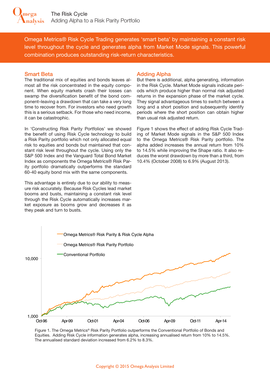Omega Metrics® Risk Cycle Trading generates 'smart beta' by maintaining a constant risk level throughout the cycle and generates alpha from Market Mode signals. This powerful combination produces outstanding risk-return characteristics.

#### Smart Beta

The traditional mix of equities and bonds leaves almost all the risk concentrated in the equity component. When equity markets crash their losses can swamp the diversification benefit of the bond component–leaving a drawdown that can take a very long time to recover from. For investors who need growth this is a serious setback. For those who need income, it can be catastrophic.

In 'Constructing Risk Parity Portfolios' we showed the benefit of using Risk Cycle technology to build a Risk Parity portfolio which not only allocated equal risk to equities and bonds but maintained that constant risk level throughout the cycle. Using only the S&P 500 Index and the Vanguard Total Bond Market Index as components the Omega Metrics® Risk Parity portfolio dramatically outperforms the standard 60-40 equity bond mix with the same components.

This advantage is entirely due to our ability to measure risk accurately. Because Risk Cycles lead market booms and busts, maintaining a constant risk level through the Risk Cycle automatically increases market exposure as booms grow and decreases it as they peak and turn to busts.

#### Adding Alpha

But there is additional, alpha generating, information in the Risk Cycle. Market Mode signals indicate periods which produce higher than normal risk adjusted returns in the expansion phase of the market cycle. They signal advantageous times to switch between a long and a short position and subsequently identify periods where the short position can obtain higher than usual risk adjusted return.

Figure 1 shows the effect of adding Risk Cycle Trading of Market Mode signals in the S&P 500 Index to the Omega Metrics® Risk Parity portfolio. The alpha added increases the annual return from 10% to 14.5% while improving the Shape ratio. It also reduces the worst drawdown by more than a third, from 10.4% (October 2008) to 6.9% (August 2013).



Figure 1. The Omega Metrics® Risk Parity Portfolio outperforms the Conventional Portfolio of Bonds and Equities. Adding Risk Cycle information generates alpha, increasing annualised return from 10% to 14.5%. The annualised standard deviation increased from 6.2% to 8.3%.